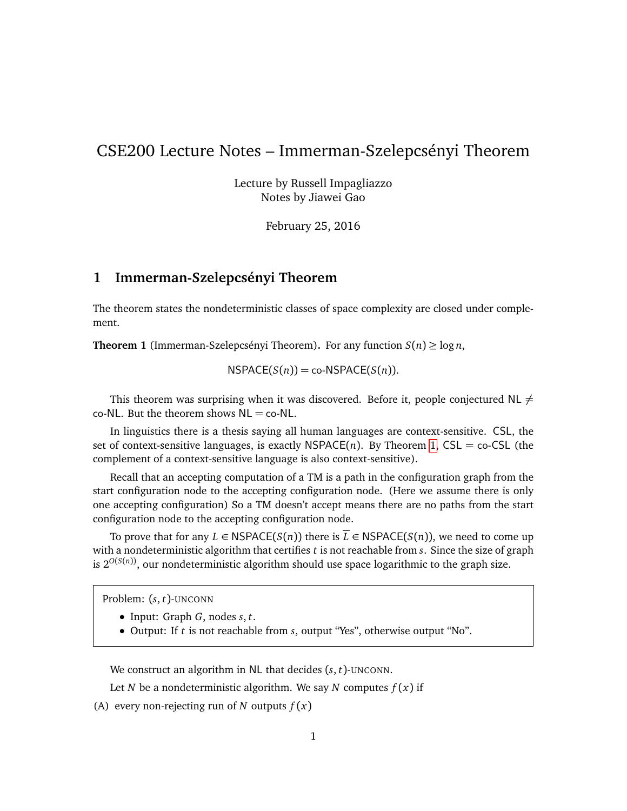## CSE200 Lecture Notes – Immerman-Szelepcsényi Theorem

Lecture by Russell Impagliazzo Notes by Jiawei Gao

February 25, 2016

## **1 Immerman-Szelepcsényi Theorem**

The theorem states the nondeterministic classes of space complexity are closed under complement.

<span id="page-0-0"></span>**Theorem 1** (Immerman-Szelepcsényi Theorem). For any function  $S(n) \ge \log n$ ,

 $NSPACE(S(n)) = co-NSPACE(S(n)).$ 

This theorem was surprising when it was discovered. Before it, people conjectured NL  $\neq$  $co-NL$ . But the theorem shows  $NL = co-NL$ .

In linguistics there is a thesis saying all human languages are context-sensitive. CSL, the set of context-sensitive languages, is exactly  $NSPACE(n)$ . By Theorem [1,](#page-0-0) CSL = co-CSL (the complement of a context-sensitive language is also context-sensitive).

Recall that an accepting computation of a TM is a path in the configuration graph from the start configuration node to the accepting configuration node. (Here we assume there is only one accepting configuration) So a TM doesn't accept means there are no paths from the start configuration node to the accepting configuration node.

To prove that for any  $L \in \text{NSPACE}(\mathcal{S}(n))$  there is  $\overline{L} \in \text{NSPACE}(\mathcal{S}(n))$ , we need to come up with a nondeterministic algorithm that certifies *t* is not reachable from *s*. Since the size of graph is 2*O*(*S*(*n*)), our nondeterministic algorithm should use space logarithmic to the graph size.

Problem: (*s*, *t*)-UNCONN

- Input: Graph *G*, nodes *s*, *t*.
- Output: If *t* is not reachable from *s*, output "Yes", otherwise output "No".

We construct an algorithm in NL that decides (*s*, *t*)-UNCONN.

Let *N* be a nondeterministic algorithm. We say *N* computes  $f(x)$  if

(A) every non-rejecting run of *N* outputs  $f(x)$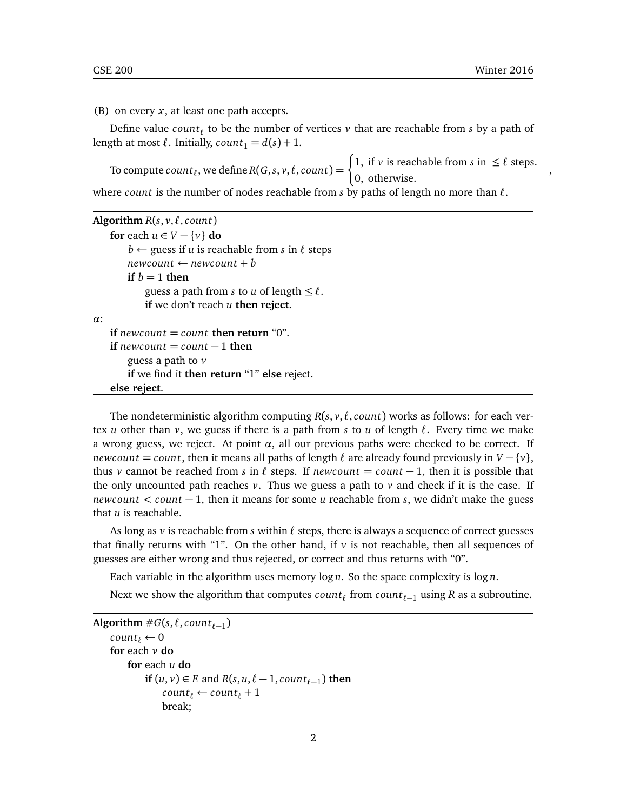,

(B) on every *x*, at least one path accepts.

Define value  $count_\ell$  to be the number of vertices  $\nu$  that are reachable from  $s$  by a path of length at most  $\ell$ . Initially,  $count_1 = d(s) + 1$ .

To compute  $count_\ell$ , we define  $R(G, s, v, \ell, count) = \begin{cases} 1, & \text{if } v \text{ is reachable from } s \text{ in } \leq \ell \text{ steps.} \\ 0, & \text{otherwise.} \end{cases}$ 0, otherwise.

where *count* is the number of nodes reachable from *s* by paths of length no more than  $\ell$ .

|  |  | Algorithm $R(s, v, \ell, count)$ |  |
|--|--|----------------------------------|--|
|  |  |                                  |  |

```
for each u \in V - \{v\} do
        b \leftarrow guess if u is reachable from s in \ell steps
        newcount \leftarrow newcount + bif b = 1 then
            guess a path from s to u of length \leq \ell.
            if we don't reach u then reject.
α:
   if newcount = count then return "0".
   if newcount = count - 1 then
        guess a path to v
        if we find it then return "1" else reject.
   else reject.
```
The nondeterministic algorithm computing  $R(s, v, \ell, count)$  works as follows: for each vertex *u* other than *v*, we guess if there is a path from *s* to *u* of length  $\ell$ . Every time we make a wrong guess, we reject. At point  $\alpha$ , all our previous paths were checked to be correct. If *newcount* = *count*, then it means all paths of length  $\ell$  are already found previously in  $V - \{v\}$ , thus *v* cannot be reached from *s* in  $\ell$  steps. If *newcount* = *count*  $-1$ , then it is possible that the only uncounted path reaches  $v$ . Thus we guess a path to  $v$  and check if it is the case. If *newcount < count* − 1, then it means for some *u* reachable from *s*, we didn't make the guess that *u* is reachable.

As long as  $\nu$  is reachable from *s* within  $\ell$  steps, there is always a sequence of correct guesses that finally returns with "1". On the other hand, if *v* is not reachable, then all sequences of guesses are either wrong and thus rejected, or correct and thus returns with "0".

Each variable in the algorithm uses memory log *n*. So the space complexity is log *n*.

Next we show the algorithm that computes  $count_\ell$  from  $count_{\ell-1}$  using  $R$  as a subroutine.

```
\overline{\text{Algorithm}}\ \#G(s,\ell,\textit{count}_{\ell-1})count_{\ell} \leftarrow 0for each v do
           for each u do
                 if (u, v) \in E and R(s, u, \ell - 1, count_{\ell-1}) then
                      count_{\ell} \leftarrow count_{\ell} + 1break;
```